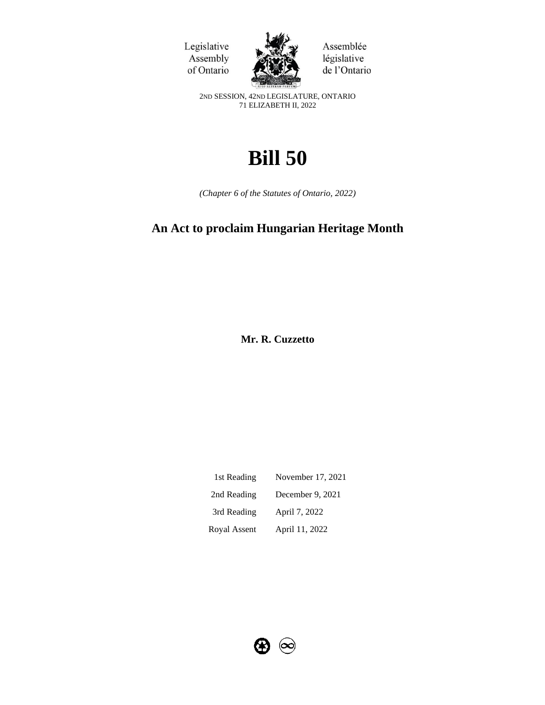Legislative Assembly of Ontario



Assemblée législative de l'Ontario

2ND SESSION, 42ND LEGISLATURE, ONTARIO 71 ELIZABETH II, 2022

# **Bill 50**

*(Chapter 6 of the Statutes of Ontario, 2022)*

# **An Act to proclaim Hungarian Heritage Month**

**Mr. R. Cuzzetto** 

| 1st Reading  | November 17, 2021 |
|--------------|-------------------|
| 2nd Reading  | December 9, 2021  |
| 3rd Reading  | April 7, 2022     |
| Royal Assent | April 11, 2022    |

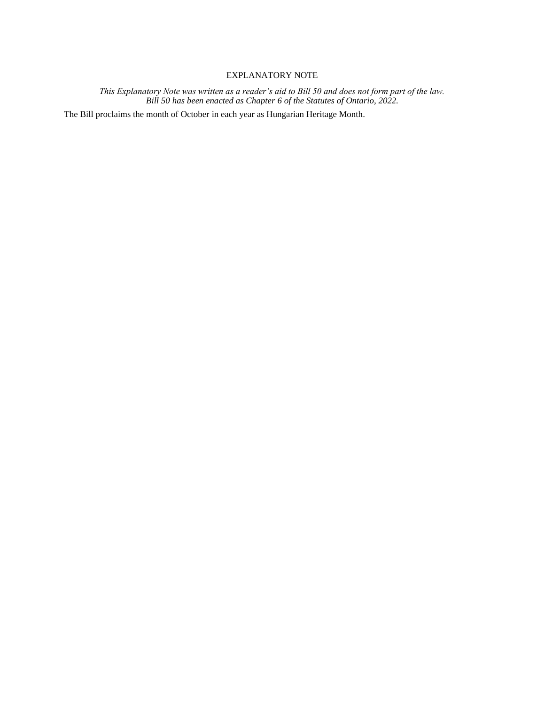## EXPLANATORY NOTE

*This Explanatory Note was written as a reader's aid to Bill 50 and does not form part of the law. Bill 50 has been enacted as Chapter 6 of the Statutes of Ontario, 2022.*

The Bill proclaims the month of October in each year as Hungarian Heritage Month.